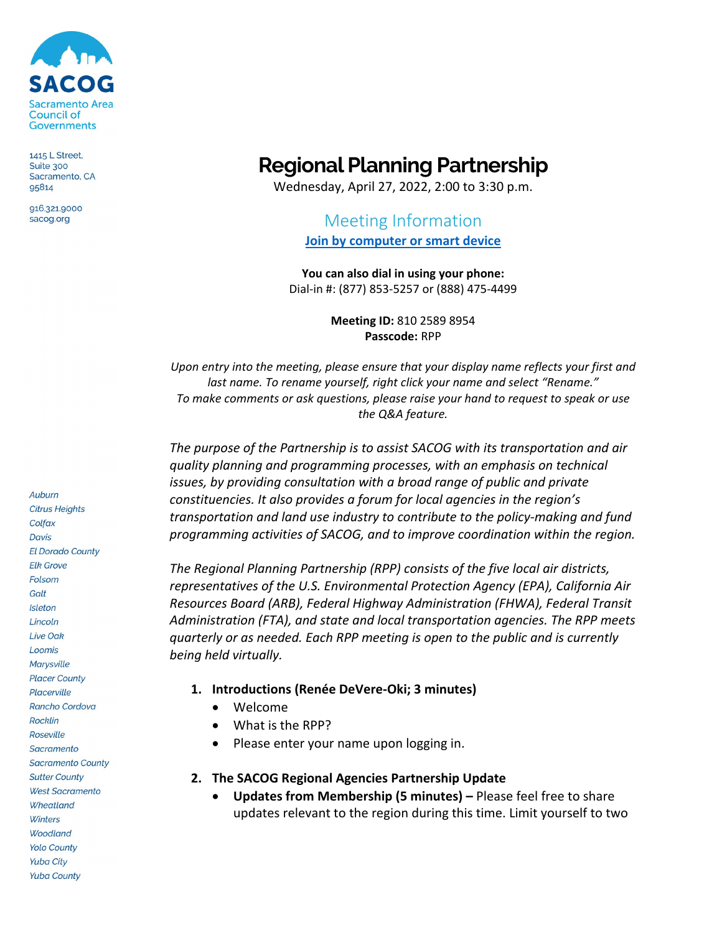

1415 L Street, Suite 300 Sacramento, CA 95814

916.321,9000 sacog.org

## **Regional Planning Partnership**

Wednesday, April 27, 2022, 2:00 to 3:30 p.m.

# Meeting Information

**[Join by computer or smart device](https://us06web.zoom.us/j/86732187806?pwd=MkRPaS9yYm5ST0tkdWF3bXpYL2s0UT09)**

**You can also dial in using your phone:**  Dial-in #: (877) 853-5257 or (888) 475-4499

> **Meeting ID:** 810 2589 8954 **Passcode:** RPP

*Upon entry into the meeting, please ensure that your display name reflects your first and last name. To rename yourself, right click your name and select "Rename." To make comments or ask questions, please raise your hand to request to speak or use the Q&A feature.*

*The purpose of the Partnership is to assist SACOG with its transportation and air quality planning and programming processes, with an emphasis on technical issues, by providing consultation with a broad range of public and private constituencies. It also provides a forum for local agencies in the region's transportation and land use industry to contribute to the policy-making and fund programming activities of SACOG, and to improve coordination within the region.*

*The Regional Planning Partnership (RPP) consists of the five local air districts, representatives of the U.S. Environmental Protection Agency (EPA), California Air Resources Board (ARB), Federal Highway Administration (FHWA), Federal Transit Administration (FTA), and state and local transportation agencies. The RPP meets quarterly or as needed. Each RPP meeting is open to the public and is currently being held virtually.*

- **1. Introductions (Renée DeVere-Oki; 3 minutes)**
	- Welcome
	- What is the RPP?
	- Please enter your name upon logging in.

#### **2. The SACOG Regional Agencies Partnership Update**

• **Updates from Membership (5 minutes) –** Please feel free to share updates relevant to the region during this time. Limit yourself to two

Auburn **Citrus Heights** Colfax **Davis El Dorado County Elk Grove** Folsom Galt Isleton Lincoln Live Oak Loomis **Marysville Placer County** Placerville Rancho Cordova **Rocklin** Roseville Sacramento **Sacramento County Sutter County West Sacramento** Wheatland Winters **Woodland Yolo County Yuba City Yuba County**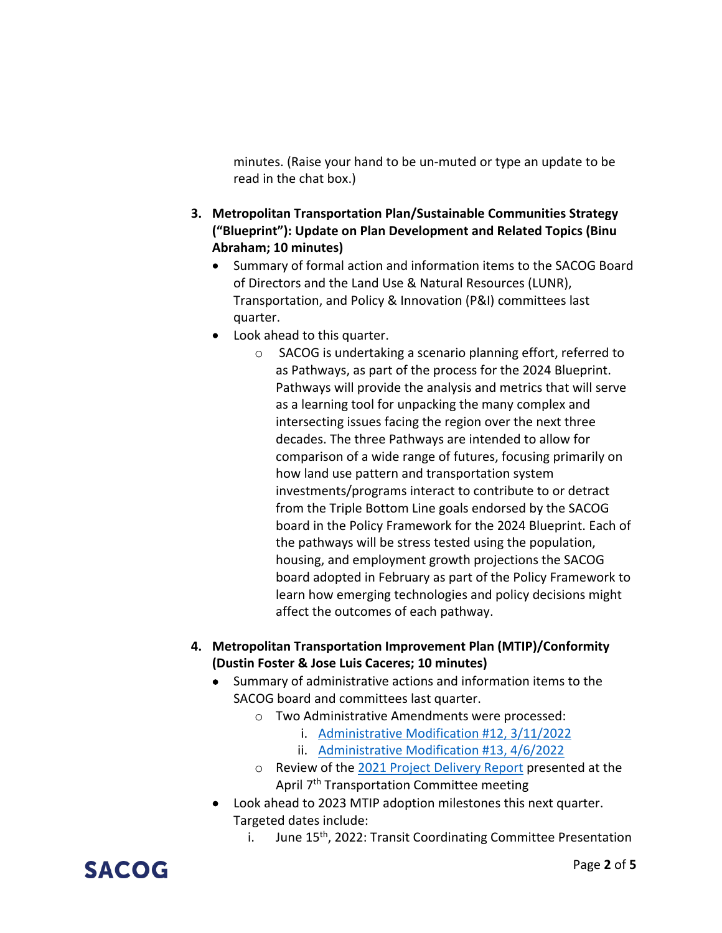minutes. (Raise your hand to be un-muted or type an update to be read in the chat box.)

- **3. Metropolitan Transportation Plan/Sustainable Communities Strategy ("Blueprint"): Update on Plan Development and Related Topics (Binu Abraham; 10 minutes)**
	- Summary of formal action and information items to the SACOG Board of Directors and the Land Use & Natural Resources (LUNR), Transportation, and Policy & Innovation (P&I) committees last quarter.
	- Look ahead to this quarter.
		- o SACOG is undertaking a scenario planning effort, referred to as Pathways, as part of the process for the 2024 Blueprint. Pathways will provide the analysis and metrics that will serve as a learning tool for unpacking the many complex and intersecting issues facing the region over the next three decades. The three Pathways are intended to allow for comparison of a wide range of futures, focusing primarily on how land use pattern and transportation system investments/programs interact to contribute to or detract from the Triple Bottom Line goals endorsed by the SACOG board in the Policy Framework for the 2024 Blueprint. Each of the pathways will be stress tested using the population, housing, and employment growth projections the SACOG board adopted in February as part of the Policy Framework to learn how emerging technologies and policy decisions might affect the outcomes of each pathway.
- **4. Metropolitan Transportation Improvement Plan (MTIP)/Conformity (Dustin Foster & Jose Luis Caceres; 10 minutes)**
	- Summary of administrative actions and information items to the SACOG board and committees last quarter.
		- o Two Administrative Amendments were processed:
			- i. [Administrative Modification #12, 3/11/2022](https://www.sacog.org/sites/main/files/file-attachments/admin_mod_12_approved_3_11_2022.pdf?1647985160)
			- ii. [Administrative Modification #13, 4/6/2022](https://www.sacog.org/sites/main/files/file-attachments/admin_mod_13_approved_4-6-22.pdf?1649348600)
		- o Review of the [2021 Project Delivery Report](https://sacog.primegov.com/portal/item?id=2128) presented at the April 7<sup>th</sup> Transportation Committee meeting
	- Look ahead to 2023 MTIP adoption milestones this next quarter. Targeted dates include:
		- i. June 15<sup>th</sup>, 2022: Transit Coordinating Committee Presentation

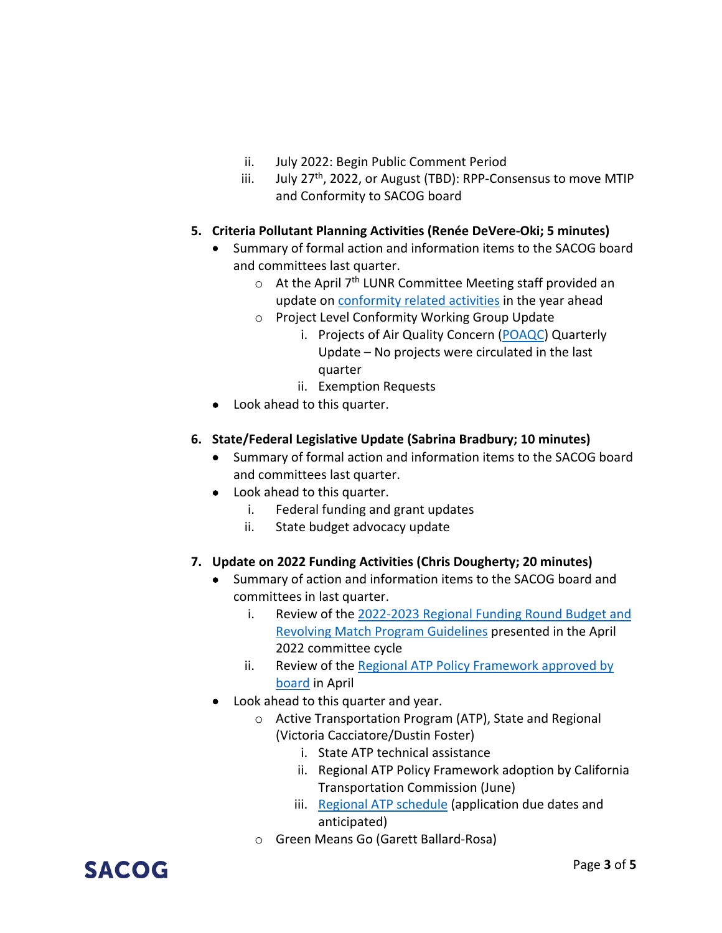- ii. July 2022: Begin Public Comment Period
- iii. July  $27<sup>th</sup>$ , 2022, or August (TBD): RPP-Consensus to move MTIP and Conformity to SACOG board

#### **5. Criteria Pollutant Planning Activities (Renée DeVere-Oki; 5 minutes)**

- Summary of formal action and information items to the SACOG board and committees last quarter.
	- $\circ$  At the April 7<sup>th</sup> LUNR Committee Meeting staff provided an update o[n conformity related activities](https://sacog.primegov.com/Portal/viewer?id=2087&type=0) in the year ahead
	- o Project Level Conformity Working Group Update
		- i. Projects of Air Quality Concern [\(POAQC\)](https://www.sacog.org/air-quality) Quarterly Update – No projects were circulated in the last quarter
		- ii. Exemption Requests
- Look ahead to this quarter.

#### **6. State/Federal Legislative Update (Sabrina Bradbury; 10 minutes)**

- Summary of formal action and information items to the SACOG board and committees last quarter.
- Look ahead to this quarter.
	- i. Federal funding and grant updates
	- ii. State budget advocacy update

#### **7. Update on 2022 Funding Activities (Chris Dougherty; 20 minutes)**

- Summary of action and information items to the SACOG board and committees in last quarter.
	- i. Review of the [2022-2023 Regional Funding Round Budget and](https://sacog.primegov.com/portal/item?id=2149)  [Revolving Match Program Guidelines](https://sacog.primegov.com/portal/item?id=2149) presented in the April 2022 committee cycle
	- ii. Review of the Regional ATP Policy Framework approved by [board](https://sacog.primegov.com/portal/item?id=2141) in April
- Look ahead to this quarter and year.
	- o Active Transportation Program (ATP), State and Regional (Victoria Cacciatore/Dustin Foster)
		- i. State ATP technical assistance
		- ii. Regional ATP Policy Framework adoption by California Transportation Commission (June)
		- iii. [Regional ATP schedule](https://www.sacog.org/sites/main/files/file-attachments/regional_active_transportation_program_milestones_1.pdf?1648847219) (application due dates and anticipated)
	- o Green Means Go (Garett Ballard-Rosa)

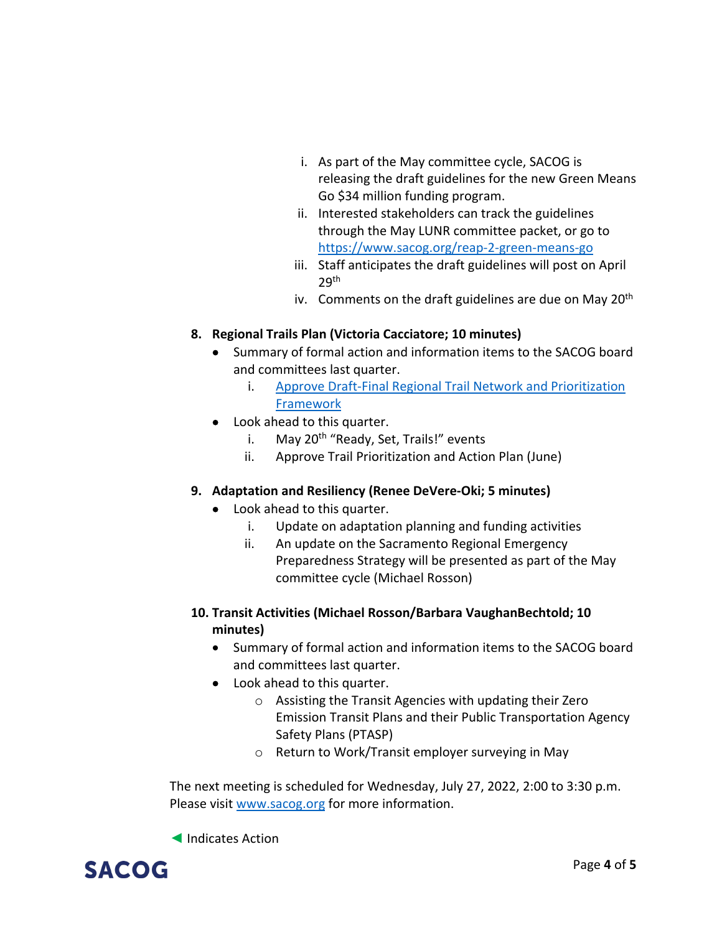- i. As part of the May committee cycle, SACOG is releasing the draft guidelines for the new Green Means Go \$34 million funding program.
- ii. Interested stakeholders can track the guidelines through the May LUNR committee packet, or go to <https://www.sacog.org/reap-2-green-means-go>
- iii. Staff anticipates the draft guidelines will post on April 29th
- iv. Comments on the draft guidelines are due on May  $20<sup>th</sup>$

### **8. Regional Trails Plan (Victoria Cacciatore; 10 minutes)**

- Summary of formal action and information items to the SACOG board and committees last quarter.
	- i. Approve Draft-Final Regional Trail Network and Prioritization [Framework](https://sacog.primegov.com/portal/item?id=2158)
- Look ahead to this quarter.
	- i. May 20<sup>th</sup> "Ready, Set, Trails!" events
	- ii. Approve Trail Prioritization and Action Plan (June)

#### **9. Adaptation and Resiliency (Renee DeVere-Oki; 5 minutes)**

- Look ahead to this quarter.
	- i. Update on adaptation planning and funding activities
	- ii. An update on the Sacramento Regional Emergency Preparedness Strategy will be presented as part of the May committee cycle (Michael Rosson)
- **10. Transit Activities (Michael Rosson/Barbara VaughanBechtold; 10 minutes)**
	- Summary of formal action and information items to the SACOG board and committees last quarter.
	- Look ahead to this quarter.
		- o Assisting the Transit Agencies with updating their Zero Emission Transit Plans and their Public Transportation Agency Safety Plans (PTASP)
		- o Return to Work/Transit employer surveying in May

The next meeting is scheduled for Wednesday, July 27, 2022, 2:00 to 3:30 p.m. Please visit [www.sacog.org](http://www.sacog.org/) for more information.

◄ Indicates Action